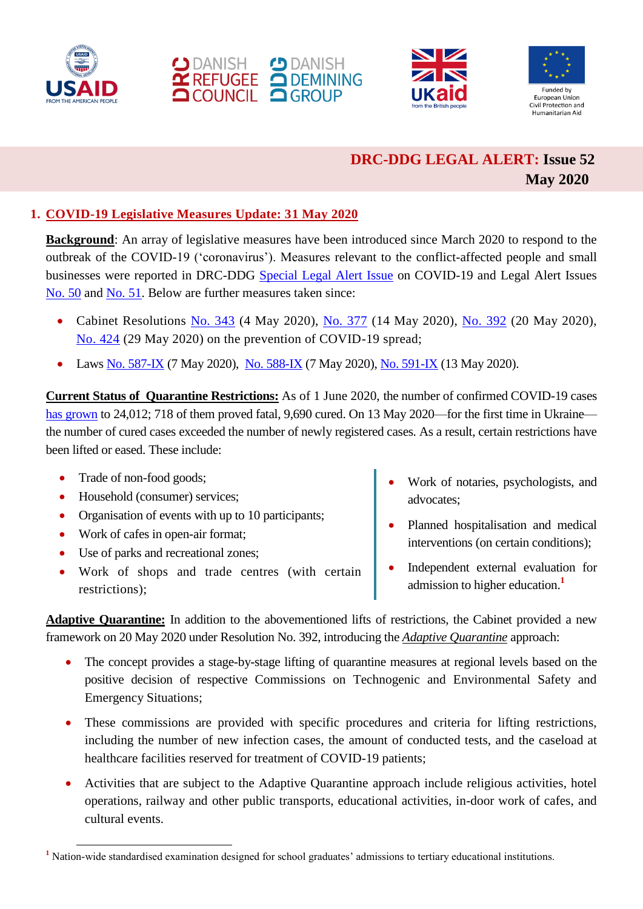







## **DRC-DDG LEGAL ALERT: Issue 52 May 2020**

## **1. COVID-19 Legislative Measures Update: 31 May 2020**

**Background**: An array of legislative measures have been introduced since March 2020 to respond to the outbreak of the COVID-19 ('coronavirus'). Measures relevant to the conflict-affected people and small businesses were reported in DRC-DDG [Special Legal Alert Issue](https://reliefweb.int/report/ukraine/drc-ddg-legal-alert-special-coronavirus-16-march-2020-enruuk) on COVID-19 and Legal Alert Issues [No. 50](https://reliefweb.int/report/ukraine/ukraine-drc-ddg-legal-alert-issue-50-february-march-2020-enruuk) and [No. 51.](https://www.humanitarianresponse.info/sites/www.humanitarianresponse.info/files/documents/files/drc-ddg_legal_alert_april_2020_eng.pdf) Below are further measures taken since:

- Cabinet Resolutions [No. 343](https://www.kmu.gov.ua/npas/pro-vnesennya-zmin-do-deyakih-aktiv-a343) (4 May 2020), [No. 377](https://zakon.rada.gov.ua/laws/show/377-2020-п) (14 May 2020), [No. 392](https://zakon.rada.gov.ua/laws/show/392-2020-п) (20 May 2020), [No. 424](https://zakon.rada.gov.ua/laws/show/424-2020-п) (29 May 2020) on the prevention of COVID-19 spread;
- Laws [No. 587-IX](https://zakon.rada.gov.ua/laws/show/587-IX) (7 May 2020), [No. 588-IX](https://zakon.rada.gov.ua/laws/show/588-20) (7 May 2020), [No. 591-IX](https://zakon.rada.gov.ua/laws/show/591-IX) (13 May 2020).

**Current Status of Quarantine Restrictions:** As of 1 June 2020, the number of confirmed COVID-19 cases [has grown](https://www.kmu.gov.ua/news/operativna-informaciya-pro-poshirennya-koronavirusnoyi-infekciyi-covid-19-01062019) to 24,012; 718 of them proved fatal, 9,690 cured. On 13 May 2020—for the first time in Ukraine the number of cured cases exceeded the number of newly registered cases. As a result, certain restrictions have been lifted or eased. These include:

• Trade of non-food goods;

1

- Household (consumer) services;
- Organisation of events with up to 10 participants;
- Work of cafes in open-air format;
- Use of parks and recreational zones;
- Work of shops and trade centres (with certain restrictions);
- Work of notaries, psychologists, and advocates;
- Planned hospitalisation and medical interventions (on certain conditions);
- Independent external evaluation for admission to higher education. **1**

**Adaptive Quarantine:** In addition to the abovementioned lifts of restrictions, the Cabinet provided a new framework on 20 May 2020 under Resolution No. 392, introducing the *Adaptive Quarantine* approach:

- The concept provides a stage-by-stage lifting of quarantine measures at regional levels based on the positive decision of respective Commissions on Technogenic and Environmental Safety and Emergency Situations;
- These commissions are provided with specific procedures and criteria for lifting restrictions, including the number of new infection cases, the amount of conducted tests, and the caseload at healthcare facilities reserved for treatment of COVID-19 patients;
- Activities that are subject to the Adaptive Quarantine approach include religious activities, hotel operations, railway and other public transports, educational activities, in-door work of cafes, and cultural events.

**<sup>1</sup>** Nation-wide standardised examination designed for school graduates' admissions to tertiary educational institutions.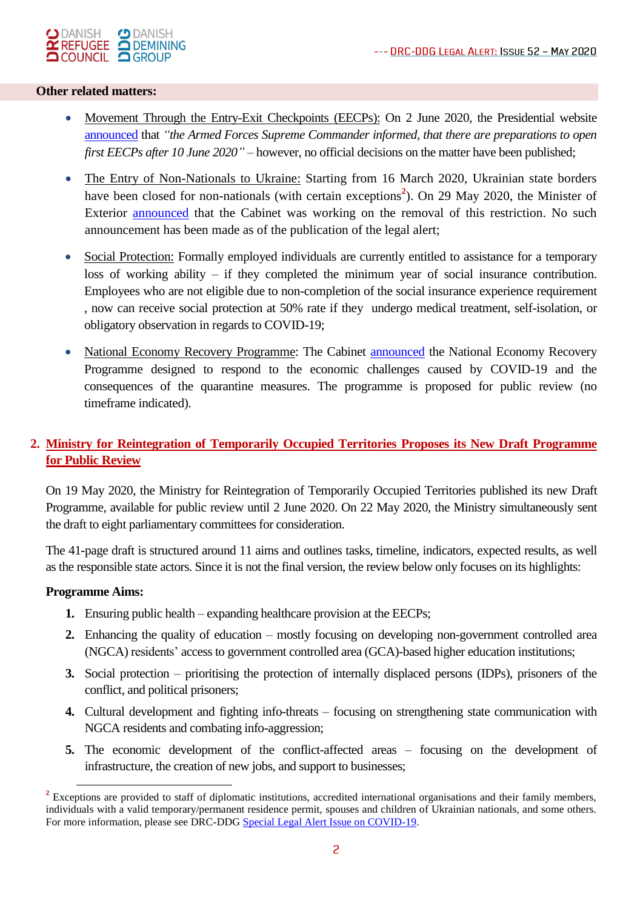

#### **Other related matters:**

- Movement Through the Entry-Exit Checkpoints (EECPs): On 2 June 2020, the Presidential website [announced](https://president.gov.ua/news/ukrayina-gotuyetsya-do-vidkrittya-pershih-kpvv-na-liniyi-roz-61425) that *"the Armed Forces Supreme Commander informed, that there are preparations to open first EECPs after 10 June 2020"* – however, no official decisions on the matter have been published;
- The Entry of Non-Nationals to Ukraine: Starting from 16 March 2020, Ukrainian state borders have been closed for non-nationals (with certain exceptions<sup>2</sup>). On 29 May 2020, the Minister of Exterior [announced](https://www.pravda.com.ua/news/2020/05/29/7253730/) that the Cabinet was working on the removal of this restriction. No such announcement has been made as of the publication of the legal alert;
- Social Protection: Formally employed individuals are currently entitled to assistance for a temporary loss of working ability – if they completed the minimum year of social insurance contribution. Employees who are not eligible due to non-completion of the social insurance experience requirement , now can receive social protection at 50% rate if they undergo medical treatment, self-isolation, or obligatory observation in regards to COVID-19;
- National Economy Recovery Programme: The Cabinet **announced** the National Economy Recovery Programme designed to respond to the economic challenges caused by COVID-19 and the consequences of the quarantine measures. The programme is proposed for public review (no timeframe indicated).

## **2. Ministry for Reintegration of Temporarily Occupied Territories Proposes its New Draft Programme for Public Review**

On 19 May 2020, the Ministry for Reintegration of Temporarily Occupied Territories [published](https://mtot.gov.ua/ua/minreintegraciii-opriljudnjue-draft-programi-di) its new Draft Programme, available for public review until 2 June 2020. On 22 May 2020, the Ministry simultaneously sent the draft to eight parliamentary committees for consideration.

The 41-page draft is structured around 11 aims and outlines tasks, timeline, indicators, expected results, as well as the responsible state actors. Since it is not the final version, the review below only focuses on its highlights:

#### **Programme Aims:**

1

- **1.** Ensuring public health expanding healthcare provision at the EECPs;
- **2.** Enhancing the quality of education mostly focusing on developing non-government controlled area (NGCA) residents' access to government controlled area (GCA)-based higher education institutions;
- **3.** Social protection prioritising the protection of internally displaced persons (IDPs), prisoners of the conflict, and political prisoners;
- **4.** Cultural development and fighting info-threats focusing on strengthening state communication with NGCA residents and combating info-aggression;
- **5.** The economic development of the conflict-affected areas focusing on the development of infrastructure, the creation of new jobs, and support to businesses;

<sup>&</sup>lt;sup>2</sup> Exceptions are provided to staff of diplomatic institutions, accredited international organisations and their family members, individuals with a valid temporary/permanent residence permit, spouses and children of Ukrainian nationals, and some others. For more information, please see DRC-DDG [Special Legal Alert Issue on COVID-19.](https://reliefweb.int/report/ukraine/drc-ddg-legal-alert-special-coronavirus-16-march-2020-enruuk)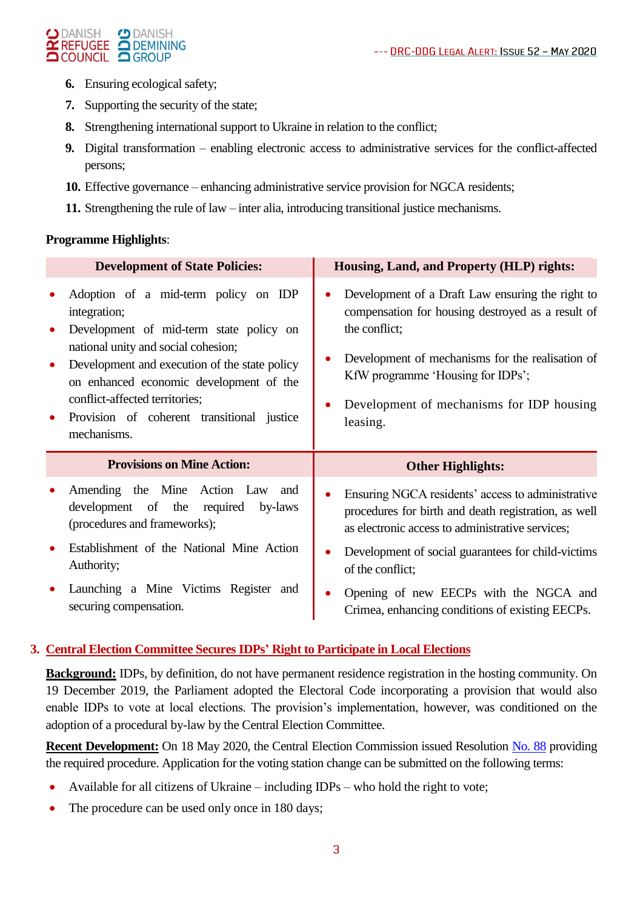#### O DANISH O DANISH<br>**Y REFUGEE O DEMINING**  $\bigcirc$  DANISH **QCOUNCIL QGROUP**

- **6.** Ensuring ecological safety;
- **7.** Supporting the security of the state;
- **8.** Strengthening international support to Ukraine in relation to the conflict;
- **9.** Digital transformation enabling electronic access to administrative services for the conflict-affected persons;
- **10.** Effective governance enhancing administrative service provision for NGCA residents;
- **11.** Strengthening the rule of law inter alia, introducing transitional justice mechanisms.

### **Programme Highlights**:

| <b>Development of State Policies:</b>                                                                                                                                                                                                                                                                                             | Housing, Land, and Property (HLP) rights:                                                                                                                                                                                                                                |
|-----------------------------------------------------------------------------------------------------------------------------------------------------------------------------------------------------------------------------------------------------------------------------------------------------------------------------------|--------------------------------------------------------------------------------------------------------------------------------------------------------------------------------------------------------------------------------------------------------------------------|
| Adoption of a mid-term policy on IDP<br>integration;<br>Development of mid-term state policy on<br>national unity and social cohesion;<br>Development and execution of the state policy<br>on enhanced economic development of the<br>conflict-affected territories;<br>Provision of coherent transitional justice<br>mechanisms. | Development of a Draft Law ensuring the right to<br>compensation for housing destroyed as a result of<br>the conflict;<br>Development of mechanisms for the realisation of<br>KfW programme 'Housing for IDPs';<br>Development of mechanisms for IDP housing<br>leasing. |
|                                                                                                                                                                                                                                                                                                                                   |                                                                                                                                                                                                                                                                          |
| <b>Provisions on Mine Action:</b>                                                                                                                                                                                                                                                                                                 | <b>Other Highlights:</b>                                                                                                                                                                                                                                                 |
| Amending the Mine Action Law<br>and<br>development of the required<br>by-laws<br>(procedures and frameworks);                                                                                                                                                                                                                     | Ensuring NGCA residents' access to administrative<br>procedures for birth and death registration, as well<br>as electronic access to administrative services;                                                                                                            |
| Establishment of the National Mine Action<br>Authority;                                                                                                                                                                                                                                                                           | Development of social guarantees for child-victims<br>of the conflict;                                                                                                                                                                                                   |

## **3. Central Election Committee Secures IDPs' Right to Participate in Local Elections**

**Background:** IDPs, by definition, do not have permanent residence registration in the hosting community. On 19 December 2019, the Parliament adopted the Electoral Code incorporating a provision that would also enable IDPs to vote at local elections. The provision's implementation, however, was conditioned on the adoption of a procedural by-law by the Central Election Committee.

**Recent Development:** On 18 May 2020, the Central Election Commission issued Resolution [No. 88](https://www.cvk.gov.ua/pls/acts/showcard53f5.html?id=47917&what=0) providing the required procedure. Application for the voting station change can be submitted on the following terms:

- Available for all citizens of Ukraine including IDPs who hold the right to vote;
- The procedure can be used only once in 180 days;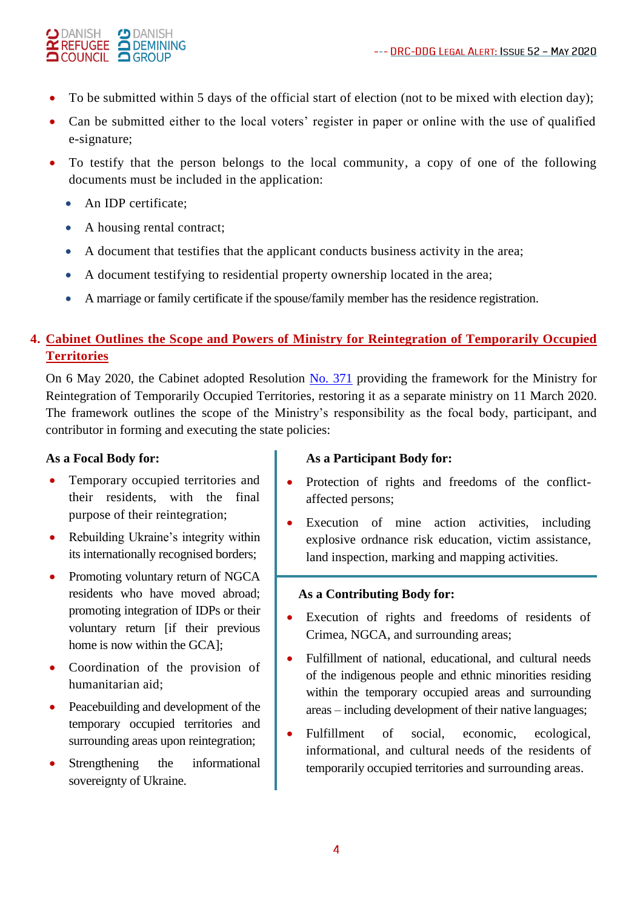#### $\bigcirc$  DANISH **CD** DANISH **X** REFUGEE **O DANISH OCOUNCIL OGROUP**

- To be submitted within 5 days of the official start of election (not to be mixed with election day);
- Can be submitted either to the local voters' register in paper or online with the use of qualified e-signature;
- To testify that the person belongs to the local community, a copy of one of the following documents must be included in the application:
	- An IDP certificate;
	- A housing rental contract;
	- A document that testifies that the applicant conducts business activity in the area;
	- A document testifying to residential property ownership located in the area;
	- A marriage or family certificate if the spouse/family member has the residence registration.

## **4. Cabinet Outlines the Scope and Powers of Ministry for Reintegration of Temporarily Occupied Territories**

On 6 May 2020, the Cabinet adopted Resolution [No. 371](https://zakon.rada.gov.ua/laws/show/371-2020-п) providing the framework for the Ministry for Reintegration of Temporarily Occupied Territories, restoring it as a separate ministry on 11 March 2020. The framework outlines the scope of the Ministry's responsibility as the focal body, participant, and contributor in forming and executing the state policies:

## **As a Focal Body for:**

- Temporary occupied territories and their residents, with the final purpose of their reintegration;
- Rebuilding Ukraine's integrity within its internationally recognised borders;
- Promoting voluntary return of NGCA residents who have moved abroad; promoting integration of IDPs or their voluntary return [if their previous home is now within the GCA];
- Coordination of the provision of humanitarian aid;
- Peacebuilding and development of the temporary occupied territories and surrounding areas upon reintegration;
- Strengthening the informational sovereignty of Ukraine.

## **As a Participant Body for:**

- Protection of rights and freedoms of the conflictaffected persons;
- Execution of mine action activities, including explosive ordnance risk education, victim assistance, land inspection, marking and mapping activities.

### **As a Contributing Body for:**

- Execution of rights and freedoms of residents of Crimea, NGCA, and surrounding areas;
- Fulfillment of national, educational, and cultural needs of the indigenous people and ethnic minorities residing within the temporary occupied areas and surrounding areas – including development of their native languages;
- Fulfillment of social, economic, ecological, informational, and cultural needs of the residents of temporarily occupied territories and surrounding areas.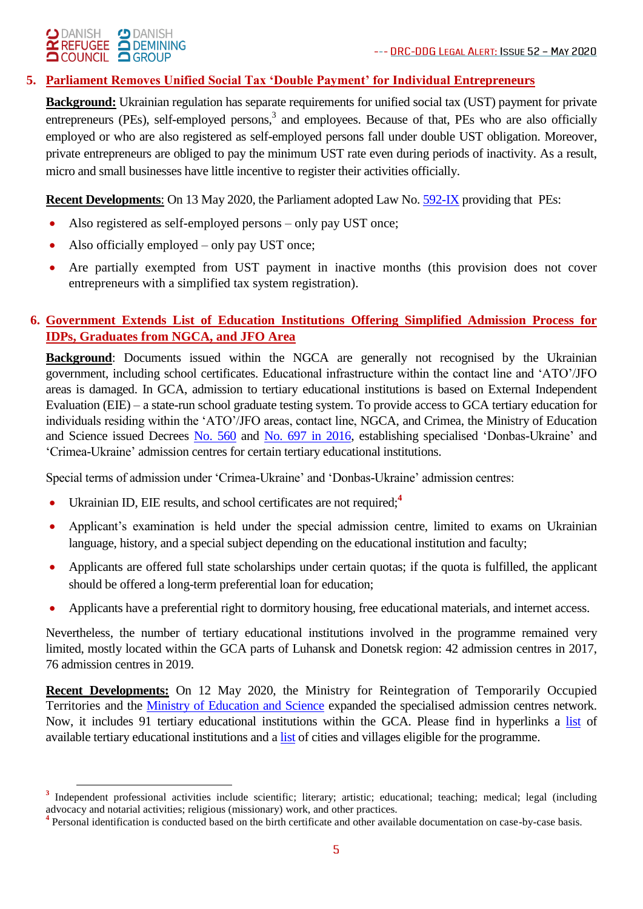# O DANISH O DANISH<br> **X REFUGEE A DEMINING**<br> **A COUNCIL A** GROUP

1

## **5. Parliament Removes Unified Social Tax 'Double Payment' for Individual Entrepreneurs**

**Background:** Ukrainian regulation has separate requirements for unified social tax (UST) payment for private entrepreneurs (PEs), self-employed persons,<sup>3</sup> and employees. Because of that, PEs who are also officially employed or who are also registered as self-employed persons fall under double UST obligation. Moreover, private entrepreneurs are obliged to pay the minimum UST rate even during periods of inactivity. As a result, micro and small businesses have little incentive to register their activities officially.

**Recent Developments**: On 13 May 2020, the Parliament adopted Law No. [592-IX](http://w1.c1.rada.gov.ua/pls/zweb2/webproc4_1?pf3511=66921) providing that PEs:

- Also registered as self-employed persons only pay UST once;
- Also officially employed only pay UST once;
- Are partially exempted from UST payment in inactive months (this provision does not cover entrepreneurs with a simplified tax system registration).

## **6. Government Extends List of Education Institutions Offering Simplified Admission Process for IDPs, Graduates from NGCA, and JFO Area**

**Background:** Documents issued within the NGCA are generally not recognised by the Ukrainian government, including school certificates. Educational infrastructure within the contact line and 'ATO'/JFO areas is damaged. In GCA, admission to tertiary educational institutions is based on External Independent Evaluation (EIE) – a state-run school graduate testing system. To provide access to GCA tertiary education for individuals residing within the 'ATO'/JFO areas, contact line, NGCA, and Crimea, the Ministry of Education and Science issued Decrees [No. 560](https://zakon.rada.gov.ua/laws/show/z0795-16) and [No. 697](https://zakon.rada.gov.ua/laws/show/z0907-16/ed20190507) in 2016, establishing specialised 'Donbas-Ukraine' and 'Crimea-Ukraine' admission centres for certain tertiary educational institutions.

Special terms of admission under 'Crimea-Ukraine' and 'Donbas-Ukraine' admission centres:

- Ukrainian ID, EIE results, and school certificates are not required;**<sup>4</sup>**
- Applicant's examination is held under the special admission centre, limited to exams on Ukrainian language, history, and a special subject depending on the educational institution and faculty;
- Applicants are offered full state scholarships under certain quotas; if the quota is fulfilled, the applicant should be offered a long-term preferential loan for education;
- Applicants have a preferential right to dormitory housing, free educational materials, and internet access.

Nevertheless, the number of tertiary educational institutions involved in the programme remained very limited, mostly located within the GCA parts of Luhansk and Donetsk region: 42 admission centres in 2017, 76 admission centres in 2019.

**Recent Developments:** On 12 May 2020, the Ministry for Reintegration of Temporarily Occupied Territories and the [Ministry of Education and Science](https://mon.gov.ua/ua/news/vstupniki-z-donbasu-i-krimu-u-2020-roci-zmozhut-vstupati-za-sproshenoyu-proceduroyu-do-91-zvo) expanded the specialised admission centres network. Now, it includes 91 tertiary educational institutions within the GCA. Please find in hyperlinks a [list](https://mon.gov.ua/ua/osvita/visha-osvita/vstupna-kampaniya-2020/vstupnikam-z-krimu-ta-donbasu/osvitni-centri) of available tertiary educational institutions and a [list](https://mon.gov.ua/ua/zhitelyam-donbasu-ta-krimu/perelik-naselenih-punktiv-doneckoyi-i-luganskoyi-oblastej-zhiteli-yakih-mayut-pravo-skoristatisya-sproshenoyu-proceduroyu-vstupu) of cities and villages eligible for the programme.

<sup>&</sup>lt;sup>3</sup> Independent professional activities include scientific; literary; artistic; educational; teaching; medical; legal (including advocacy and notarial activities; religious (missionary) work, and other practices.

<sup>&</sup>lt;sup>4</sup> Personal identification is conducted based on the birth certificate and other available documentation on case-by-case basis.